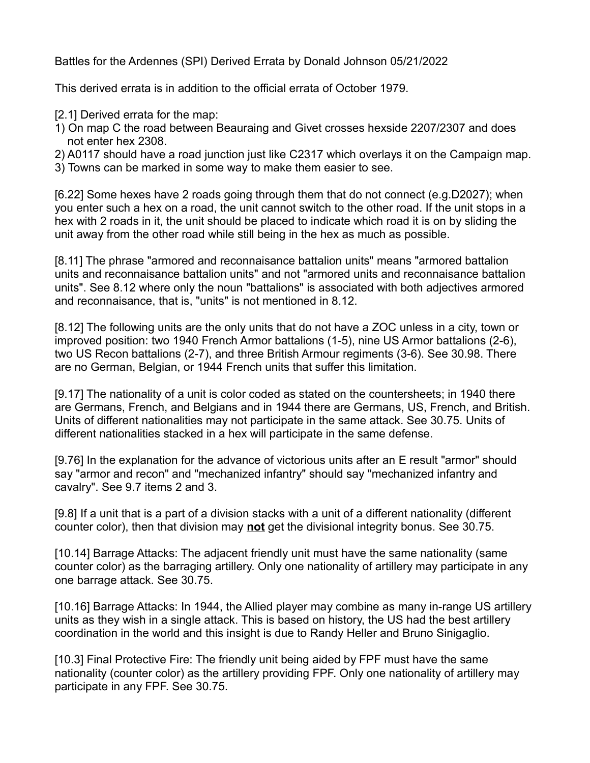Battles for the Ardennes (SPI) Derived Errata by Donald Johnson 05/21/2022

This derived errata is in addition to the official errata of October 1979.

- [2.1] Derived errata for the map:
- 1) On map C the road between Beauraing and Givet crosses hexside 2207/2307 and does not enter hex 2308.
- 2) A0117 should have a road junction just like C2317 which overlays it on the Campaign map.
- 3) Towns can be marked in some way to make them easier to see.

[6.22] Some hexes have 2 roads going through them that do not connect (e.g.D2027); when you enter such a hex on a road, the unit cannot switch to the other road. If the unit stops in a hex with 2 roads in it, the unit should be placed to indicate which road it is on by sliding the unit away from the other road while still being in the hex as much as possible.

[8.11] The phrase "armored and reconnaisance battalion units" means "armored battalion units and reconnaisance battalion units" and not "armored units and reconnaisance battalion units". See 8.12 where only the noun "battalions" is associated with both adjectives armored and reconnaisance, that is, "units" is not mentioned in 8.12.

[8.12] The following units are the only units that do not have a ZOC unless in a city, town or improved position: two 1940 French Armor battalions (1-5), nine US Armor battalions (2-6), two US Recon battalions (2-7), and three British Armour regiments (3-6). See 30.98. There are no German, Belgian, or 1944 French units that suffer this limitation.

[9.17] The nationality of a unit is color coded as stated on the countersheets; in 1940 there are Germans, French, and Belgians and in 1944 there are Germans, US, French, and British. Units of different nationalities may not participate in the same attack. See 30.75. Units of different nationalities stacked in a hex will participate in the same defense.

[9.76] In the explanation for the advance of victorious units after an E result "armor" should say "armor and recon" and "mechanized infantry" should say "mechanized infantry and cavalry". See 9.7 items 2 and 3.

[9.8] If a unit that is a part of a division stacks with a unit of a different nationality (different counter color), then that division may **not** get the divisional integrity bonus. See 30.75.

[10.14] Barrage Attacks: The adjacent friendly unit must have the same nationality (same counter color) as the barraging artillery. Only one nationality of artillery may participate in any one barrage attack. See 30.75.

[10.16] Barrage Attacks: In 1944, the Allied player may combine as many in-range US artillery units as they wish in a single attack. This is based on history, the US had the best artillery coordination in the world and this insight is due to Randy Heller and Bruno Sinigaglio.

[10.3] Final Protective Fire: The friendly unit being aided by FPF must have the same nationality (counter color) as the artillery providing FPF. Only one nationality of artillery may participate in any FPF. See 30.75.